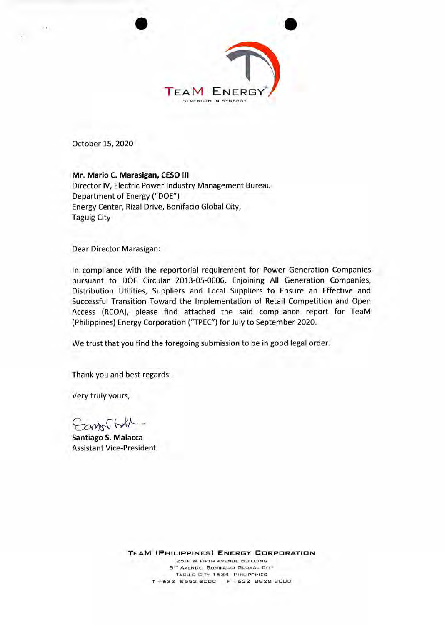

October 15, 2020

**Mr. Mario C. Marasigan, CESO Ill** 

Director IV, Electric Power Industry Management Bureau Department of Energy ("DOE") Energy Center, Rizal Drive, Bonifacio Global City, Taguig City

Dear Director Marasigan:

In compliance with the reportorial requirement for Power Generation Companies pursuant to DOE Circular 2013-05-0006, Enjoining All Generation Companies, Distribution Utilities, Suppliers and Local Suppliers to Ensure an Effective and Successful Transition Toward the Implementation of Retail Competition and Open Access (RCOA), please find attached the said compliance report for TeaM (Philippines) Energy Corporation ("TPEC") for July to September 2020.

We trust that you find the foregoing submission to be in good legal order.

Thank you and best regards.

Very truly yours,

Earts. (W/

**Santiago S. Malacca**  Assistant Vice-President

**TEAM (PHILIPPINES) ENERGY CORPORATION**  25/F W FIFTH AVENUE BUILDING 5" AVENUE. BONIFACIO GLOBAL CITY TAGUIG CITY 1634 PHILIPPINES T +632 8552 8000 F +632 8828 8000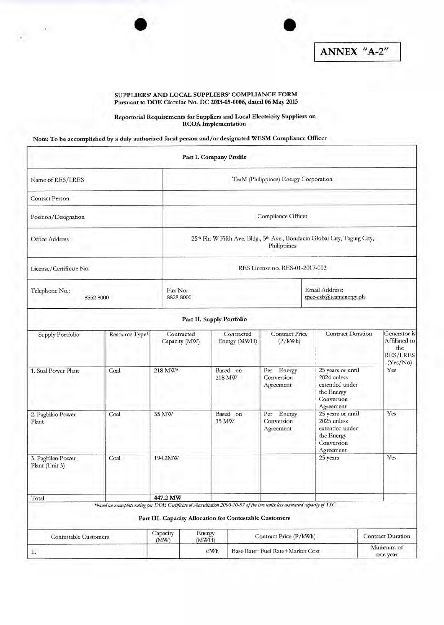

 $\mathcal{N}$  .



ANNEX "A-2"

## SUPPLIERS' AND LOCAL SUPPLIERS' COMPLIANCE FORM Pursuant to DOE Circular No. DC 2013-05-0006, dated 06 May 2013

## Reportorial Requirements for Suppliers and Local Electricity Suppliers on RCOA Implementation

Note: To be accomplished by a duly authorized focal person and/or designated WESM Compliance Officer

|                                     |                                                                                                                              |                  | Part I. Company Profile                                                                    |                    |                                                            |                                                         |                                                                                             |                                                                     |  |  |
|-------------------------------------|------------------------------------------------------------------------------------------------------------------------------|------------------|--------------------------------------------------------------------------------------------|--------------------|------------------------------------------------------------|---------------------------------------------------------|---------------------------------------------------------------------------------------------|---------------------------------------------------------------------|--|--|
| Name of RES/LRES                    |                                                                                                                              |                  | TeaM (Philippines) Energy Corporation                                                      |                    |                                                            |                                                         |                                                                                             |                                                                     |  |  |
| <b>Contact Person</b>               |                                                                                                                              |                  |                                                                                            |                    |                                                            |                                                         |                                                                                             |                                                                     |  |  |
| Position/Designation                |                                                                                                                              |                  | Compliance Officer                                                                         |                    |                                                            |                                                         |                                                                                             |                                                                     |  |  |
| <b>Office Address</b>               |                                                                                                                              |                  | 25th Flr. W Fifth Ave. Bldg., 5th Ave., Bonifacio Global City, Taguig City,<br>Philippines |                    |                                                            |                                                         |                                                                                             |                                                                     |  |  |
| License/Certificate No.             |                                                                                                                              |                  |                                                                                            |                    |                                                            | RES License no. RES-01-2017-002                         |                                                                                             |                                                                     |  |  |
| Telephone No.:<br>8552 8000         |                                                                                                                              |                  | Fax No:<br>8828 8000                                                                       |                    |                                                            |                                                         | Email Address:<br>tpcc-esb@teamenergy.ph                                                    |                                                                     |  |  |
|                                     |                                                                                                                              |                  | Part II. Supply Portfolio                                                                  |                    |                                                            |                                                         |                                                                                             |                                                                     |  |  |
| Supply Portfolio                    | Resource Type <sup>1</sup>                                                                                                   |                  | Contracted<br>Capacity (MW)                                                                |                    | Contracted<br>Energy (MWH)                                 | <b>Contract Price</b><br>(P/kWh)                        | <b>Contract Duration</b>                                                                    | Generator is<br>Affiliated to<br>the<br><b>RES/LRES</b><br>(Yes/No) |  |  |
| 1. Sual Power Plant                 | Coal                                                                                                                         | 218 MW*          |                                                                                            | Based on<br>218 MW |                                                            | Per Energy<br>Conversion<br>Agreement                   | 25 years or until<br>2024 unless<br>extended under<br>the Energy<br>Conversion<br>Agreement | Yes                                                                 |  |  |
| 2. Pagbilao Power<br>Plant          | Coal                                                                                                                         | 35 MW            |                                                                                            |                    | Per Energy<br>Based on<br>Conversion<br>35 MW<br>Agreement |                                                         | 2025 unless<br>the Energy<br>Conversion                                                     | 25 years or until<br>Yes<br>extended under<br>Agreement             |  |  |
| 3. Pagbilao Power<br>Plant (Unit 3) | Coal                                                                                                                         | 194.2MW          |                                                                                            |                    |                                                            |                                                         | 25 years                                                                                    | Yes.                                                                |  |  |
| Total                               |                                                                                                                              | 447.2 MW         |                                                                                            |                    |                                                            |                                                         |                                                                                             |                                                                     |  |  |
|                                     | *based on nameplate rating per DOE Certificate of Accreditation 2000-10-57 of the two units less contracted capacity of TSC. |                  |                                                                                            |                    |                                                            | Part III. Capacity Allocation for Contestable Customers |                                                                                             |                                                                     |  |  |
| <b>Contestable Customers</b>        |                                                                                                                              | Capacity<br>(MW) | Energy<br>(MWH)                                                                            |                    | Contract Price (P/kWh)                                     |                                                         |                                                                                             | <b>Contract Duration</b>                                            |  |  |
| 1.                                  |                                                                                                                              |                  | <b>MWh</b>                                                                                 |                    | Base Rate+Fuel Rate+Market Cost                            |                                                         |                                                                                             | Minimum of<br>one year                                              |  |  |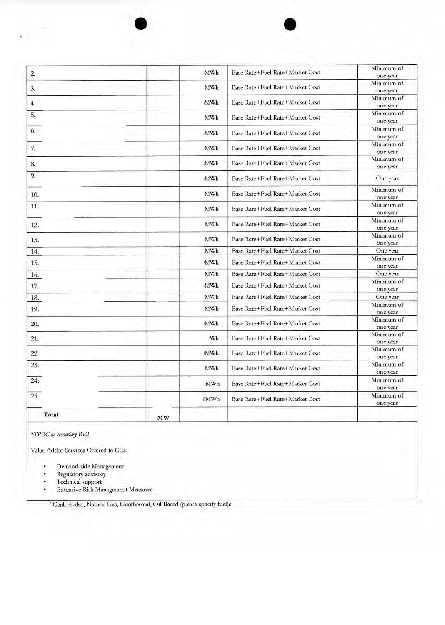| Total | MW |            |                                 |                        |
|-------|----|------------|---------------------------------|------------------------|
| 25.   |    | 9MWh       | Base Rate+Fuel Rate+Market Cost | Minimum of<br>one year |
| 24.   |    | MWh        | Base Rate+Fuel Rate+Market Cost | Minimum of<br>one year |
| 23.   |    | <b>MWh</b> | Base Rate+Fuel Rate+Market Cost | Minimum of<br>one year |
| 22.   |    | MWh        | Base Rate+Fuel Rate+Market Cost | Minimum of<br>one year |
| 21.   |    | :Wh        | Base Rate+Fuel Rate+Market Cost | Minimum of<br>one year |
| 20.   |    | MWh        | Base Rate+Fuel Rate+Market Cost | Minimum of<br>one year |
| 19.   |    | MWh        | Base Rate+Fuel Rate+Market Cost | Minimum of<br>one year |
| 18.   |    | MWh        | Base Rate+Fuel Rate+Market Cost | One year               |
| 17.   |    | MWh        | Base Rate+Fuel Rate+Market Cost | Minimum of<br>one year |
| 16.   |    | MWh        | Base Rate+Fuel Rate+Market Cost | One year               |
| 15.   |    | MWh        | Base Rate+Fuel Rate+Market Cost | Minimum of<br>one year |
| 14.   |    | MWh        | Base Rate+Fuel Rate+Market Cost | One year               |
| 13.   |    | MWh        | Base Rate+Fuel Rate+Market Cost | Minimum of<br>one year |
| 12.   |    | MWh        | Base Rate+Fuel Rate+Market Cost | Minimum of<br>one year |
| 11.   |    | MWh        | Base Rate+Fuel Rate+Market Cost | Minimum of<br>one year |
| 10.   |    | MWh        | Base Rate+Fuel Rate+Market Cost | Minimum of<br>one year |
| 9.    |    | MWh        | Base Rate+Fuel Rate+Market Cost | One year               |
| 8.    |    | MWh        | Base Rate+Fuel Rate+Market Cost | Minimum of<br>one year |
| 7.    |    | MWh        | Base Rate+Fuel Rate+Market Cost | Minimum of<br>one year |
| 6.    |    | MWh        | Base Rate+Fuel Rate+Market Cost | Minimum of<br>one year |
| 5.    |    | MWh        | Base Rate+Fuel Rate+Market Cost | Minimum of<br>one year |
| 4.    |    | MWh        | Base Rate+Fuel Rate+Market Cost | Minimum of<br>one year |
| 3.    |    | MWh        | Base Rate+Fuel Rate+Market Cost | Minimum of<br>one year |
| 2.    |    | MWh        | Base Rate+Fuel Rate+Market Cost | Minimum of<br>one year |

*\*TPEC as secondary* RES

ć.

Value Added Services Offered to CCs:

- Demand-side Management<br>• Reoulatory advisory
- Regulatory advisory<br>• Technical support
- Technical support
- Extensive Risk Management Measures

I Coal, Hydro, Natural Gas, Geothermal, Oil-Based (please specify fuel)s